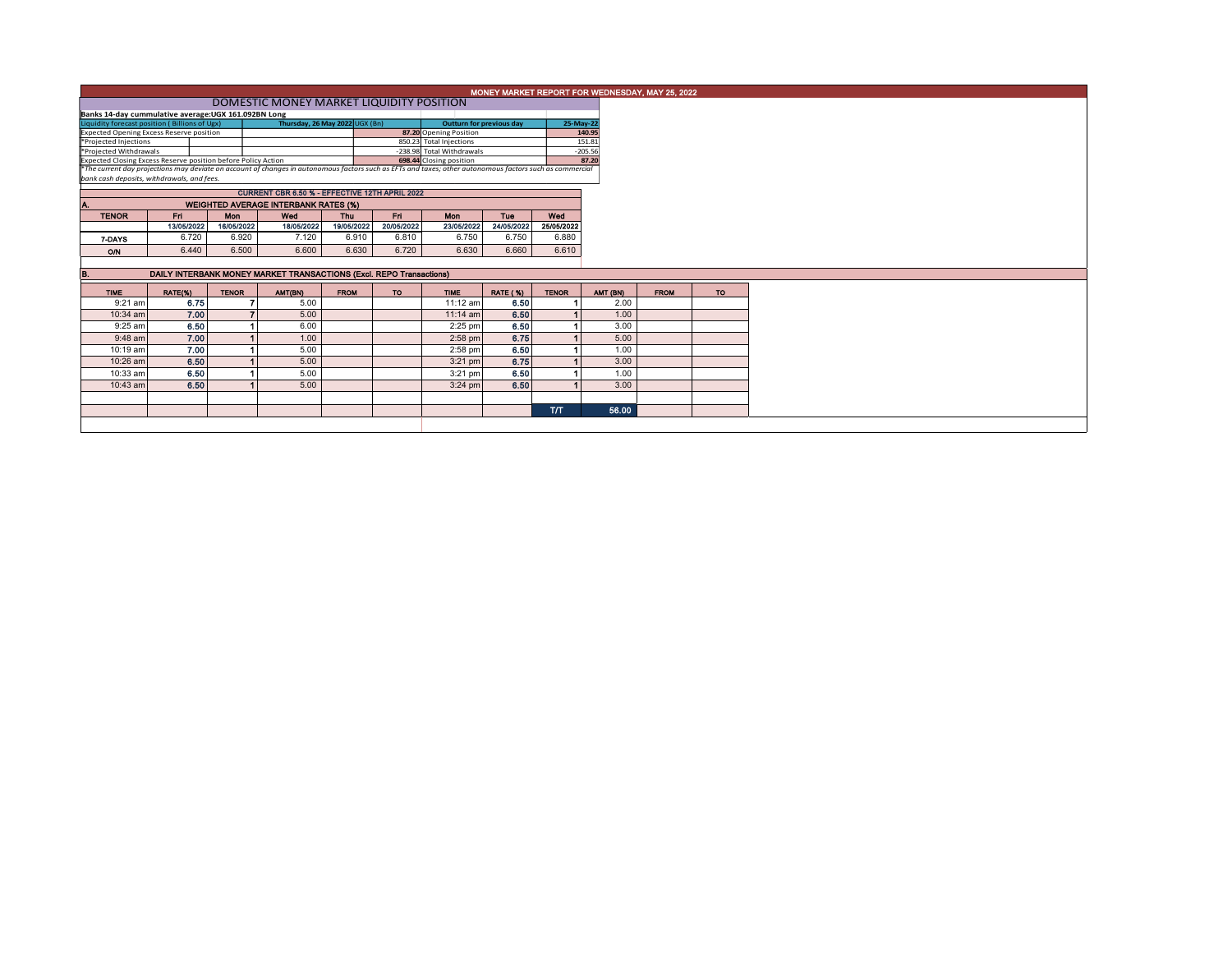|                                                                                                                                                                                                                                      |                                                      | MONEY MARKET REPORT FOR WEDNESDAY, MAY 25, 2022 |                                                                     |             |                    |                                                      |                 |                     |          |  |  |  |  |  |
|--------------------------------------------------------------------------------------------------------------------------------------------------------------------------------------------------------------------------------------|------------------------------------------------------|-------------------------------------------------|---------------------------------------------------------------------|-------------|--------------------|------------------------------------------------------|-----------------|---------------------|----------|--|--|--|--|--|
|                                                                                                                                                                                                                                      | DOMESTIC MONEY MARKET LIQUIDITY POSITION             |                                                 |                                                                     |             |                    |                                                      |                 |                     |          |  |  |  |  |  |
|                                                                                                                                                                                                                                      | Banks 14-day cummulative average: UGX 161.092BN Long |                                                 |                                                                     |             |                    |                                                      |                 |                     |          |  |  |  |  |  |
| Thursday, 26 May 2022 UGX (Bn)<br>Liquidity forecast position (Billions of Ugx)                                                                                                                                                      |                                                      |                                                 |                                                                     |             |                    | <b>Outturn for previous day</b>                      |                 | 25-May-22           |          |  |  |  |  |  |
| <b>Expected Opening Excess Reserve position</b>                                                                                                                                                                                      |                                                      |                                                 |                                                                     |             |                    | 87.20 Opening Position                               |                 |                     | 140.95   |  |  |  |  |  |
| *Projected Injections<br>*Projected Withdrawals                                                                                                                                                                                      |                                                      |                                                 |                                                                     |             |                    | 850.23 Total Injections<br>-238.98 Total Withdrawals |                 | 151.81<br>$-205.56$ |          |  |  |  |  |  |
|                                                                                                                                                                                                                                      |                                                      |                                                 |                                                                     |             |                    |                                                      |                 |                     | 87.20    |  |  |  |  |  |
| Figure Construction and ST.20<br>Expected Closing Excess Reserve position before Policy Action<br>The current day projections may deviate on account of changes in autonomous factors such as EFTs and taxes; other autonomous facto |                                                      |                                                 |                                                                     |             |                    |                                                      |                 |                     |          |  |  |  |  |  |
| bank cash deposits, withdrawals, and fees.                                                                                                                                                                                           |                                                      |                                                 |                                                                     |             |                    |                                                      |                 |                     |          |  |  |  |  |  |
| CURRENT CBR 6.50 % - EFFECTIVE 12TH APRIL 2022                                                                                                                                                                                       |                                                      |                                                 |                                                                     |             |                    |                                                      |                 |                     |          |  |  |  |  |  |
| <b>WEIGHTED AVERAGE INTERBANK RATES (%)</b><br>A.                                                                                                                                                                                    |                                                      |                                                 |                                                                     |             |                    |                                                      |                 |                     |          |  |  |  |  |  |
| <b>TENOR</b>                                                                                                                                                                                                                         | Eri I                                                | <b>Mon</b>                                      | Wed                                                                 | <b>Thu</b>  | Fri.               | Mon                                                  | <b>Tue</b>      | Wed                 |          |  |  |  |  |  |
|                                                                                                                                                                                                                                      | 13/05/2022                                           | 16/05/2022                                      | 18/05/2022                                                          | 19/05/2022  | 20/05/2022         | 23/05/2022                                           | 24/05/2022      | 25/05/2022          |          |  |  |  |  |  |
| 7-DAYS                                                                                                                                                                                                                               | 6.720                                                | 6.920                                           | 7.120                                                               | 6.910       | 6.810              | 6.750                                                | 6.750           | 6.880               |          |  |  |  |  |  |
| O/N                                                                                                                                                                                                                                  | 6.440                                                | 6.500                                           | 6.600                                                               | 6.630       | 6.720              | 6.630                                                | 6.660           | 6.610               |          |  |  |  |  |  |
|                                                                                                                                                                                                                                      |                                                      |                                                 |                                                                     |             |                    |                                                      |                 |                     |          |  |  |  |  |  |
|                                                                                                                                                                                                                                      |                                                      |                                                 | DAILY INTERBANK MONEY MARKET TRANSACTIONS (Excl. REPO Transactions) |             |                    |                                                      |                 |                     |          |  |  |  |  |  |
| <b>TIME</b>                                                                                                                                                                                                                          | RATE(%)                                              | <b>TENOR</b>                                    | AMT(BN)                                                             | <b>FROM</b> | <b>TO</b>          | <b>TIME</b>                                          | <b>RATE (%)</b> | <b>TENOR</b>        |          |  |  |  |  |  |
|                                                                                                                                                                                                                                      |                                                      |                                                 |                                                                     |             |                    |                                                      |                 |                     |          |  |  |  |  |  |
| 9:21 am                                                                                                                                                                                                                              |                                                      |                                                 |                                                                     |             |                    | 11:12 am                                             | 6.50            |                     |          |  |  |  |  |  |
| 10:34 am                                                                                                                                                                                                                             | 7.00                                                 |                                                 | 5.00                                                                |             |                    | $11:14$ am                                           | 6.50            |                     |          |  |  |  |  |  |
| 9:25 am                                                                                                                                                                                                                              | 6.50                                                 |                                                 | 6.00                                                                |             |                    | $2:25$ pm                                            | 6.50            |                     |          |  |  |  |  |  |
| $9:48$ am                                                                                                                                                                                                                            | 7.00                                                 |                                                 | 1.00                                                                |             |                    | $2:58$ pm                                            | 6.75            |                     |          |  |  |  |  |  |
| 10:19 am                                                                                                                                                                                                                             | 7.00                                                 |                                                 | 5.00                                                                |             |                    | $2:58$ pm                                            | 6.50            |                     |          |  |  |  |  |  |
| 10:26 am                                                                                                                                                                                                                             | 6.50                                                 |                                                 | 5.00                                                                |             |                    | $3:21$ pm                                            | 6.75            |                     |          |  |  |  |  |  |
| 10:33 am                                                                                                                                                                                                                             | 6.50                                                 |                                                 | 5.00                                                                |             |                    | $3:21$ pm                                            | 6.50            |                     |          |  |  |  |  |  |
| 10:43 am                                                                                                                                                                                                                             | 6.50                                                 |                                                 | 5.00                                                                |             |                    | $3:24$ pm                                            | 6.50            |                     |          |  |  |  |  |  |
|                                                                                                                                                                                                                                      |                                                      |                                                 |                                                                     |             |                    |                                                      |                 |                     | AMT (BN) |  |  |  |  |  |
|                                                                                                                                                                                                                                      |                                                      |                                                 |                                                                     |             | 6.75<br>5.00<br>э. |                                                      |                 |                     |          |  |  |  |  |  |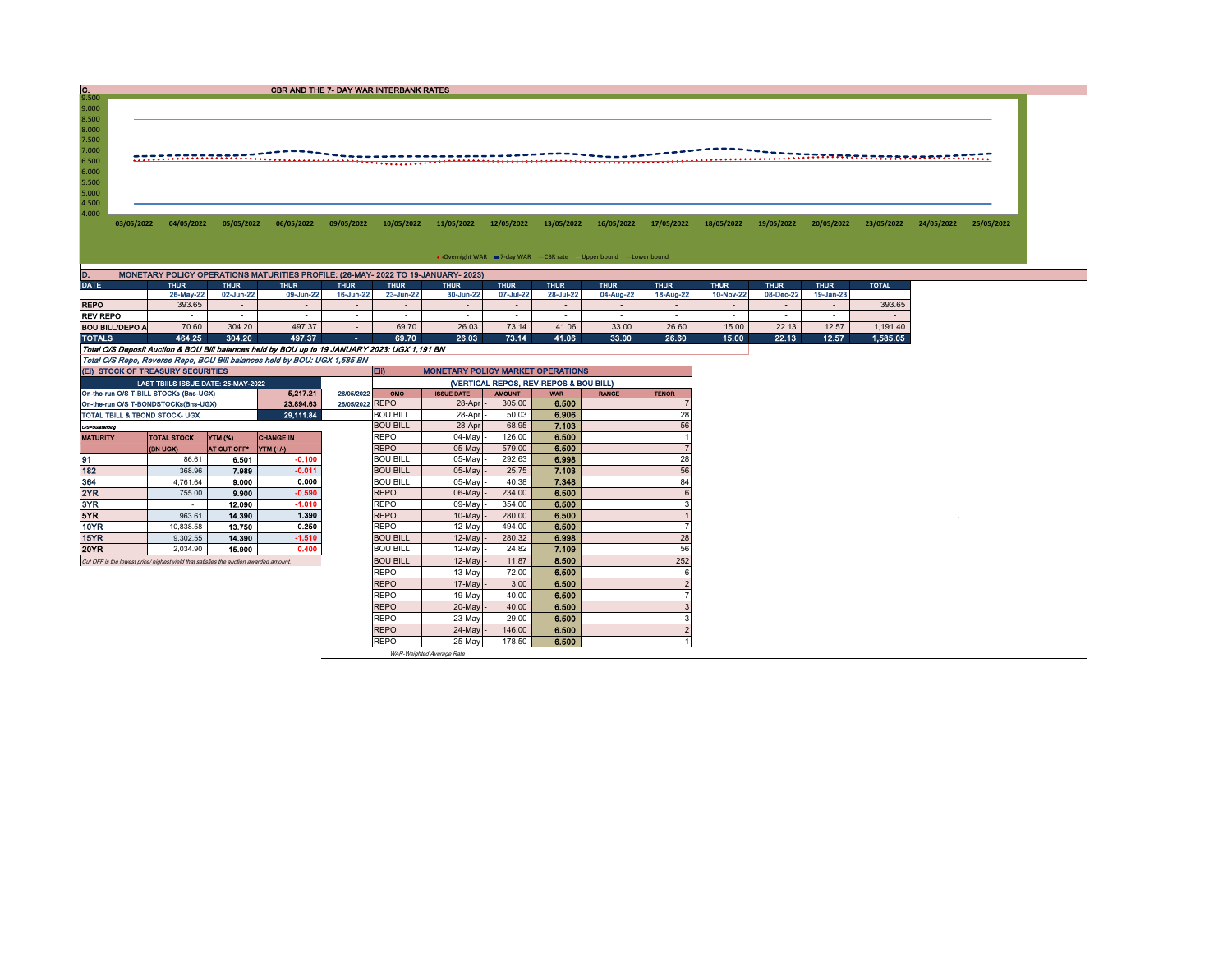| C.                               |            |            |            | <b>CBR AND THE 7- DAY WAR INTERBANK RATES</b> |            |            |            |            |            |            |            |            |            |            |            |            |
|----------------------------------|------------|------------|------------|-----------------------------------------------|------------|------------|------------|------------|------------|------------|------------|------------|------------|------------|------------|------------|
| 9.500                            |            |            |            |                                               |            |            |            |            |            |            |            |            |            |            |            |            |
| 9.000                            |            |            |            |                                               |            |            |            |            |            |            |            |            |            |            |            |            |
| 8.500                            |            |            |            |                                               |            |            |            |            |            |            |            |            |            |            |            |            |
| 8.000                            |            |            |            |                                               |            |            |            |            |            |            |            |            |            |            |            |            |
| 7.500                            |            |            |            |                                               |            |            |            |            |            |            |            |            |            |            |            |            |
| 7.000                            |            |            |            |                                               |            |            |            |            |            |            |            |            |            |            |            |            |
| 6.500                            |            |            |            |                                               |            |            |            |            |            |            |            |            |            |            |            |            |
|                                  |            |            |            |                                               |            |            |            |            |            |            |            |            |            |            |            |            |
|                                  |            |            |            |                                               |            |            |            |            |            |            |            |            |            |            |            |            |
|                                  |            |            |            |                                               |            |            |            |            |            |            |            |            |            |            |            |            |
|                                  |            |            |            |                                               |            |            |            |            |            |            |            |            |            |            |            |            |
| 6.000<br>5.500<br>5.000<br>4.500 |            |            |            |                                               |            |            |            |            |            |            |            |            |            |            |            |            |
| 4.000                            |            |            |            |                                               |            |            |            |            |            |            |            |            |            |            |            |            |
| 03/05/2022                       | 04/05/2022 | 05/05/2022 | 06/05/2022 | 09/05/2022                                    | 10/05/2022 | 11/05/2022 | 12/05/2022 | 13/05/2022 | 16/05/2022 | 17/05/2022 | 18/05/2022 | 19/05/2022 | 20/05/2022 | 23/05/2022 | 24/05/2022 | 25/05/2022 |
|                                  |            |            |            |                                               |            |            |            |            |            |            |            |            |            |            |            |            |
|                                  |            |            |            |                                               |            |            |            |            |            |            |            |            |            |            |            |            |

| D.                                                                                            | MONETARY POLICY OPERATIONS MATURITIES PROFILE: (26-MAY- 2022 TO 19-JANUARY- 2023) |             |             |             |             |                                          |             |             |             |             |             |             |             |              |  |
|-----------------------------------------------------------------------------------------------|-----------------------------------------------------------------------------------|-------------|-------------|-------------|-------------|------------------------------------------|-------------|-------------|-------------|-------------|-------------|-------------|-------------|--------------|--|
| DATE                                                                                          | <b>THUR</b>                                                                       | <b>THUR</b> | <b>THUR</b> | <b>THUR</b> | <b>THUR</b> | <b>THUR</b>                              | <b>THUR</b> | <b>THUR</b> | <b>THUR</b> | <b>THUR</b> | <b>THUR</b> | <b>THUR</b> | <b>THUR</b> | <b>TOTAL</b> |  |
|                                                                                               | 26-May-22                                                                         | 02-Jun-22   | 09-Jun-22   | 16-Jun-22   | 23-Jun-22   | 30-Jun-22                                | 07-Jul-22   | 28-Jul-22   | 04-Aug-22   | 18-Aug-22   | 10-Nov-22   | 08-Dec-22   | 19-Jan-23   |              |  |
| <b>REPO</b>                                                                                   | 393.65                                                                            |             |             |             |             |                                          |             |             |             |             |             |             |             | 393.65       |  |
| REV REPO                                                                                      |                                                                                   |             |             |             |             |                                          |             |             |             |             |             |             |             |              |  |
| BOU BILL/DEPO A                                                                               | 70.60                                                                             | 304.20      | 497.37      |             | 69.70       | 26.03                                    | 73.14       | 41.06       | 33.00       | 26.60       | 15.00       | 22.13       | 12.57       | 1.191.40     |  |
| <b>TOTALS</b>                                                                                 | 464.25                                                                            | 304.20      | 497.37      | <b>COL</b>  | 69.70       | 26.03                                    | 73.14       | 41.06       | 33.00       | 26.60       | 15.00       | 22.13       | 12.57       | 1,585.05     |  |
| Total O/S Deposit Auction & BOU Bill balances held by BOU up to 19 JANUARY 2023: UGX 1,191 BN |                                                                                   |             |             |             |             |                                          |             |             |             |             |             |             |             |              |  |
| Total O/S Repo, Reverse Repo, BOU Bill balances held by BOU: UGX 1,585 BN                     |                                                                                   |             |             |             |             |                                          |             |             |             |             |             |             |             |              |  |
| (EI) STOCK OF TREASURY SECURITIES                                                             |                                                                                   |             |             |             | <b>IEID</b> | <b>MONETARY POLICY MARKET OPERATIONS</b> |             |             |             |             |             |             |             |              |  |

|                                      | (EI) STOCK OF TREASURY SECURITIES                                                     | <b>ED</b><br><b>MONETARY POLICY MARKET OPERATIONS</b> |                   |               |                                        |              |              |       |  |     |  |  |
|--------------------------------------|---------------------------------------------------------------------------------------|-------------------------------------------------------|-------------------|---------------|----------------------------------------|--------------|--------------|-------|--|-----|--|--|
|                                      | LAST TBIILS ISSUE DATE: 25-MAY-2022                                                   |                                                       |                   |               | (VERTICAL REPOS, REV-REPOS & BOU BILL) |              |              |       |  |     |  |  |
|                                      | On-the-run O/S T-BILL STOCKs (Bns-UGX)                                                | 26/05/2022<br><b>OMO</b>                              | <b>ISSUE DATE</b> | <b>AMOUNT</b> | <b>WAR</b>                             | <b>RANGE</b> | <b>TENOR</b> |       |  |     |  |  |
| On-the-run O/S T-BONDSTOCKs(Bns-UGX) | 26/05/2022 REPO                                                                       |                                                       | 28-Apr            | 305.00        | 6.500                                  |              |              |       |  |     |  |  |
| TOTAL TBILL & TBOND STOCK- UGX       |                                                                                       |                                                       | 29,111.84         |               | <b>BOU BILL</b>                        | 28-Apr       | 50.03        | 6.906 |  | 28  |  |  |
| O/S=Outstanding                      |                                                                                       |                                                       |                   |               | <b>BOU BILL</b>                        | 28-Apr       | 68.95        | 7.103 |  | 56  |  |  |
| <b>MATURITY</b>                      | <b>TOTAL STOCK</b>                                                                    | YTM (%)                                               | <b>CHANGE IN</b>  |               | <b>REPO</b>                            | $04$ -May    | 126.00       | 6.500 |  |     |  |  |
|                                      | <b>(BN UGX)</b>                                                                       | AT CUT OFF"                                           | <b>YTM</b> (+/-)  |               | <b>REPO</b>                            | $05$ -May    | 579.00       | 6.500 |  |     |  |  |
| 91                                   | 86.61                                                                                 | 6.501                                                 | $-0.100$          |               | <b>BOU BILL</b>                        | $05$ -May    | 292.63       | 6.998 |  | 28  |  |  |
| 182                                  | 368.96                                                                                | 7.989                                                 | $-0.011$          |               | <b>BOU BILL</b>                        | 05-May       | 25.75        | 7.103 |  | 56  |  |  |
| 364                                  | 4.761.64                                                                              | 9.000                                                 | 0.000             |               | <b>BOU BILL</b>                        | $05$ -May    | 40.38        | 7.348 |  | 84  |  |  |
| 2YR                                  | 755.00                                                                                | 9.900                                                 | $-0.590$          |               | <b>REPO</b>                            | $06$ -May    | 234.00       | 6.500 |  |     |  |  |
| 3YR                                  |                                                                                       | 12.090                                                | $-1.010$          |               | <b>REPO</b>                            | 09-May       | 354.00       | 6.500 |  |     |  |  |
| 5YR                                  | 963.61                                                                                | 14,390                                                | 1.390             |               | <b>REPO</b>                            | 10-May       | 280.00       | 6.500 |  |     |  |  |
| 10YR                                 | 10,838.58                                                                             | 13.750                                                | 0.250             |               | <b>REPO</b>                            | $12$ -May    | 494.00       | 6.500 |  |     |  |  |
| 15YR                                 | 9.302.55                                                                              | 14.390                                                | $-1.510$          |               | <b>BOU BILL</b>                        | $12$ -May    | 280.32       | 6.998 |  | 28  |  |  |
| 20YR                                 | 2.034.90                                                                              | 15,900                                                | 0.400             |               | <b>BOU BILL</b>                        | $12$ -May    | 24.82        | 7.109 |  | 56  |  |  |
|                                      | Cut OFF is the lowest price/ highest vield that satisfies the auction awarded amount. |                                                       |                   |               | <b>BOU BILL</b>                        | $12$ -May    | 11.87        | 8.500 |  | 252 |  |  |
|                                      |                                                                                       |                                                       |                   |               | <b>REPO</b>                            | $13-May$     | 72.00        | 6.500 |  |     |  |  |
|                                      |                                                                                       |                                                       |                   |               | <b>REPO</b>                            | $17$ -May    | 3.00         | 6.500 |  |     |  |  |
|                                      |                                                                                       |                                                       |                   |               | <b>REPO</b>                            | $19-May$     | 40.00        | 6.500 |  |     |  |  |
|                                      |                                                                                       |                                                       |                   |               | <b>REPO</b>                            | $20$ -May    | 40.00        | 6.500 |  |     |  |  |
|                                      |                                                                                       |                                                       |                   |               | <b>REPO</b>                            | $23-May$     | 29.00        | 6.500 |  |     |  |  |
|                                      |                                                                                       |                                                       |                   |               | <b>REPO</b>                            | 24-May       | 146.00       | 6.500 |  |     |  |  |
|                                      |                                                                                       |                                                       |                   |               | <b>REPO</b>                            | 25-May -     | 178.50       | 6.500 |  |     |  |  |

WAR-Weighted Average Rate